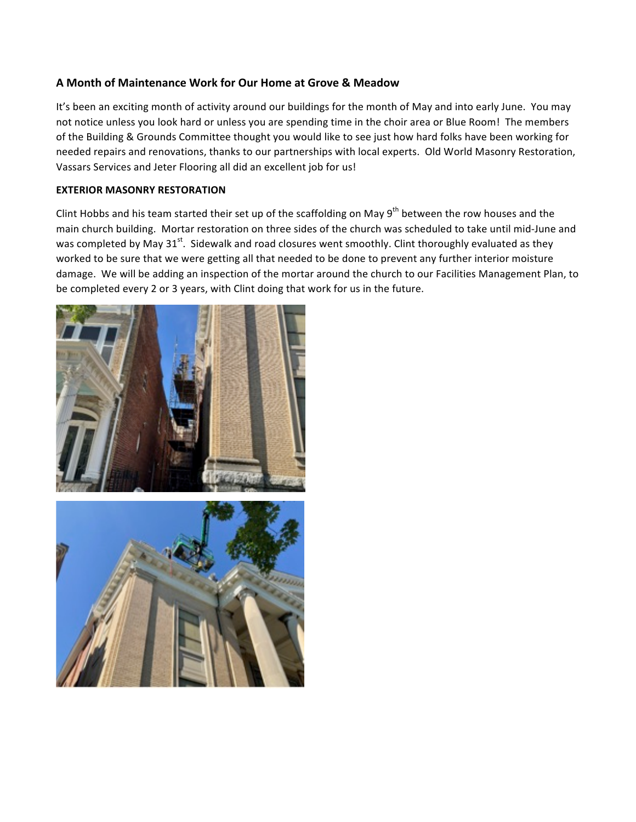## **A Month of Maintenance Work for Our Home at Grove & Meadow**

It's been an exciting month of activity around our buildings for the month of May and into early June. You may not notice unless you look hard or unless you are spending time in the choir area or Blue Room! The members of the Building & Grounds Committee thought you would like to see just how hard folks have been working for needed repairs and renovations, thanks to our partnerships with local experts. Old World Masonry Restoration, Vassars Services and Jeter Flooring all did an excellent job for us!

## **EXTERIOR MASONRY RESTORATION**

Clint Hobbs and his team started their set up of the scaffolding on May 9<sup>th</sup> between the row houses and the main church building. Mortar restoration on three sides of the church was scheduled to take until mid-June and was completed by May 31<sup>st</sup>. Sidewalk and road closures went smoothly. Clint thoroughly evaluated as they worked to be sure that we were getting all that needed to be done to prevent any further interior moisture damage. We will be adding an inspection of the mortar around the church to our Facilities Management Plan, to be completed every 2 or 3 years, with Clint doing that work for us in the future.



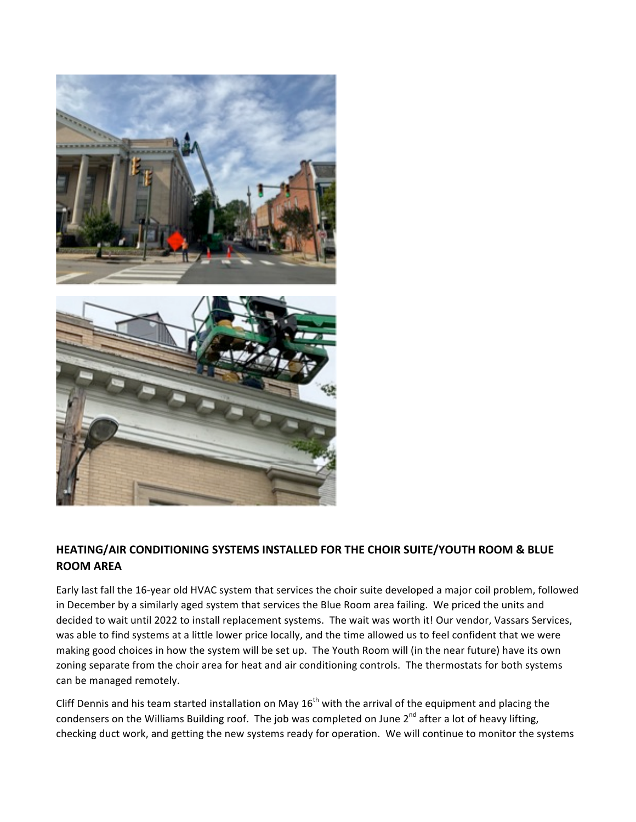

## HEATING/AIR CONDITIONING SYSTEMS INSTALLED FOR THE CHOIR SUITE/YOUTH ROOM & BLUE **ROOM AREA**

Early last fall the 16-year old HVAC system that services the choir suite developed a major coil problem, followed in December by a similarly aged system that services the Blue Room area failing. We priced the units and decided to wait until 2022 to install replacement systems. The wait was worth it! Our vendor, Vassars Services, was able to find systems at a little lower price locally, and the time allowed us to feel confident that we were making good choices in how the system will be set up. The Youth Room will (in the near future) have its own zoning separate from the choir area for heat and air conditioning controls. The thermostats for both systems can be managed remotely.

Cliff Dennis and his team started installation on May  $16<sup>th</sup>$  with the arrival of the equipment and placing the condensers on the Williams Building roof. The job was completed on June  $2^{nd}$  after a lot of heavy lifting, checking duct work, and getting the new systems ready for operation. We will continue to monitor the systems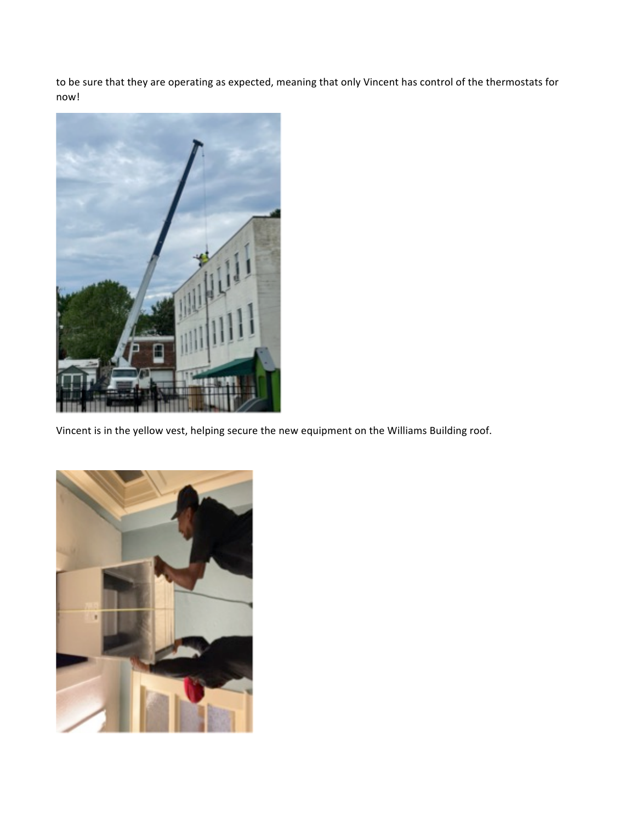to be sure that they are operating as expected, meaning that only Vincent has control of the thermostats for now!



Vincent is in the yellow vest, helping secure the new equipment on the Williams Building roof.

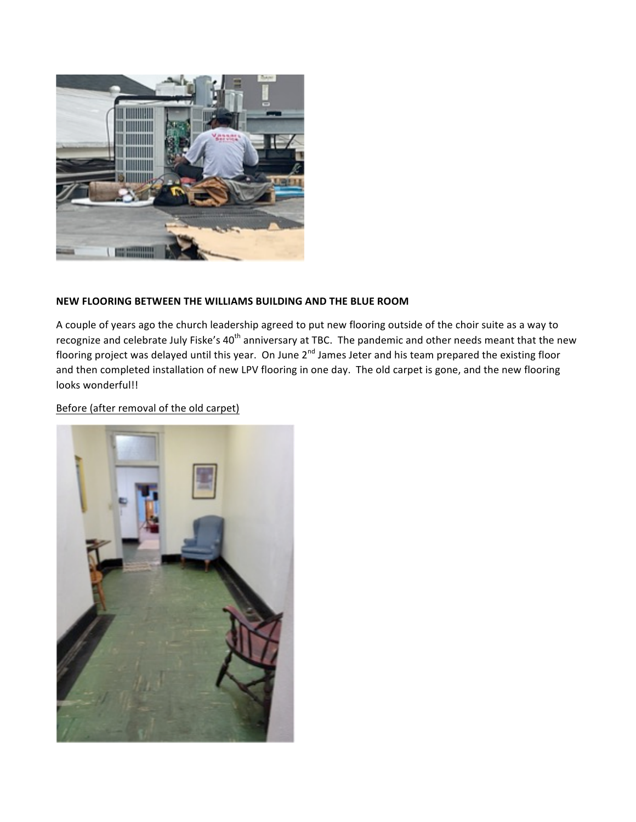

## **NEW FLOORING BETWEEN THE WILLIAMS BUILDING AND THE BLUE ROOM**

A couple of years ago the church leadership agreed to put new flooring outside of the choir suite as a way to recognize and celebrate July Fiske's 40<sup>th</sup> anniversary at TBC. The pandemic and other needs meant that the new flooring project was delayed until this year. On June  $2^{nd}$  James Jeter and his team prepared the existing floor and then completed installation of new LPV flooring in one day. The old carpet is gone, and the new flooring looks wonderful!!

Before (after removal of the old carpet)